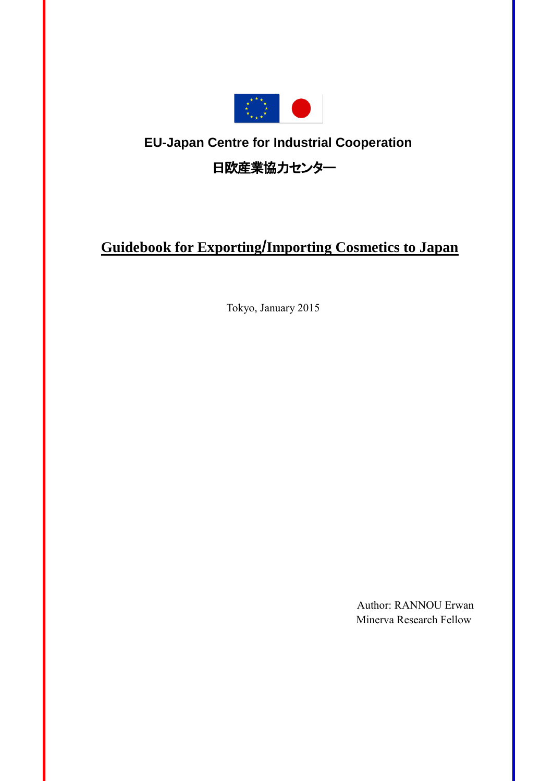

# **EU-Japan Centre for Industrial Cooperation**

日欧産業協力センター

# **Guidebook for Exporting**/**Importing Cosmetics to Japan**

Tokyo, January 2015

Author: RANNOU Erwan Minerva Research Fellow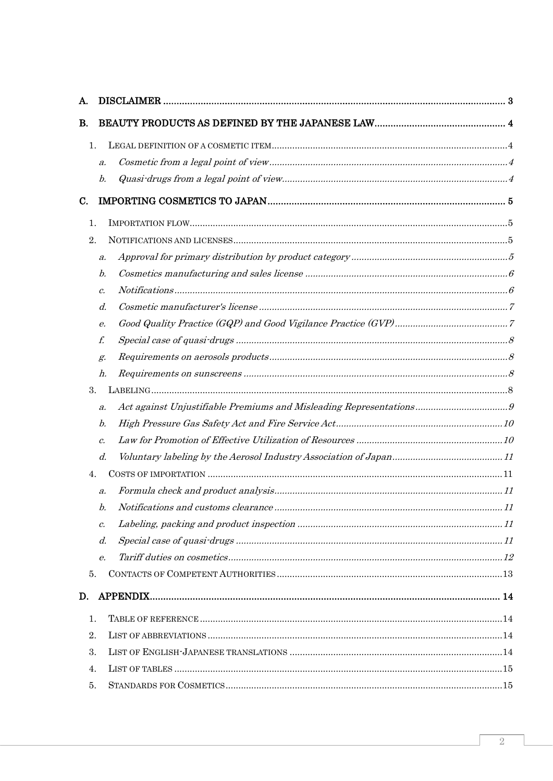| А. |                    |  |
|----|--------------------|--|
| В. |                    |  |
| 1. |                    |  |
|    | $\mathfrak{a}.$    |  |
|    | b.                 |  |
| C. |                    |  |
| 1. |                    |  |
| 2. |                    |  |
|    | $\boldsymbol{a}$ . |  |
|    | b.                 |  |
|    | $c$ .              |  |
|    | d.                 |  |
|    | е.                 |  |
|    | f.                 |  |
|    | g.                 |  |
|    | h.                 |  |
| 3. |                    |  |
|    | $\boldsymbol{a}$ . |  |
|    | b.                 |  |
|    | $\mathcal{C}$ .    |  |
|    | d.                 |  |
| 4. |                    |  |
|    | $\boldsymbol{a}$ . |  |
|    | b.                 |  |
|    | $c$ .              |  |
|    | d.                 |  |
|    | е.                 |  |
| 5. |                    |  |
| D. |                    |  |
| 1. |                    |  |
| 2. |                    |  |
| 3. |                    |  |
| 4. |                    |  |
| 5. |                    |  |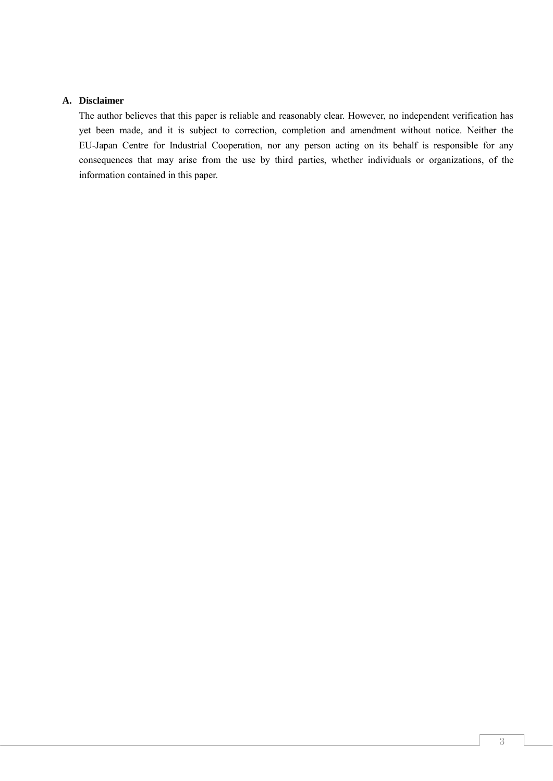#### <span id="page-2-0"></span>**A. Disclaimer**

The author believes that this paper is reliable and reasonably clear. However, no independent verification has yet been made, and it is subject to correction, completion and amendment without notice. Neither the EU-Japan Centre for Industrial Cooperation, nor any person acting on its behalf is responsible for any consequences that may arise from the use by third parties, whether individuals or organizations, of the information contained in this paper.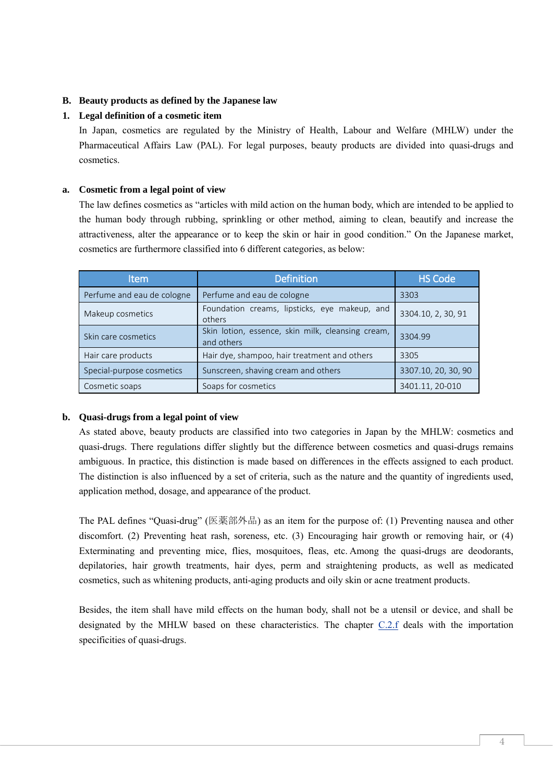## <span id="page-3-0"></span>**B. Beauty products as defined by the Japanese law**

## <span id="page-3-1"></span>**1. Legal definition of a cosmetic item**

In Japan, cosmetics are regulated by the Ministry of Health, Labour and Welfare (MHLW) under the Pharmaceutical Affairs Law (PAL). For legal purposes, beauty products are divided into quasi-drugs and cosmetics.

## <span id="page-3-2"></span>**a. Cosmetic from a legal point of view**

The law defines cosmetics as "articles with mild action on the human body, which are intended to be applied to the human body through rubbing, sprinkling or other method, aiming to clean, beautify and increase the attractiveness, alter the appearance or to keep the skin or hair in good condition." On the Japanese market, cosmetics are furthermore classified into 6 different categories, as below:

| <b>Item</b>                | <b>Definition</b>                                               | <b>HS Code</b>      |
|----------------------------|-----------------------------------------------------------------|---------------------|
| Perfume and eau de cologne | Perfume and eau de cologne                                      | 3303                |
| Makeup cosmetics           | Foundation creams, lipsticks, eye makeup, and<br>others         | 3304.10, 2, 30, 91  |
| Skin care cosmetics        | Skin lotion, essence, skin milk, cleansing cream,<br>and others | 3304.99             |
| Hair care products         | Hair dye, shampoo, hair treatment and others                    | 3305                |
| Special-purpose cosmetics  | Sunscreen, shaving cream and others                             | 3307.10, 20, 30, 90 |
| Cosmetic soaps             | Soaps for cosmetics                                             | 3401.11, 20-010     |

#### <span id="page-3-3"></span>**b. Quasi-drugs from a legal point of view**

As stated above, beauty products are classified into two categories in Japan by the MHLW: cosmetics and quasi-drugs. There regulations differ slightly but the difference between cosmetics and quasi-drugs remains ambiguous. In practice, this distinction is made based on differences in the effects assigned to each product. The distinction is also influenced by a set of criteria, such as the nature and the quantity of ingredients used, application method, dosage, and appearance of the product.

The PAL defines "Quasi-drug" (医薬部外品) as an item for the purpose of: (1) Preventing nausea and other discomfort. (2) Preventing heat rash, soreness, etc. (3) Encouraging hair growth or removing hair, or (4) Exterminating and preventing mice, flies, mosquitoes, fleas, etc. Among the quasi-drugs are deodorants, depilatories, hair growth treatments, hair dyes, perm and straightening products, as well as medicated cosmetics, such as whitening products, anti-aging products and oily skin or acne treatment products.

Besides, the item shall have mild effects on the human body, shall not be a utensil or device, and shall be designated by the MHLW based on these characteristics. The chapter [C.2.f](#page-7-0) deals with the importation specificities of quasi-drugs.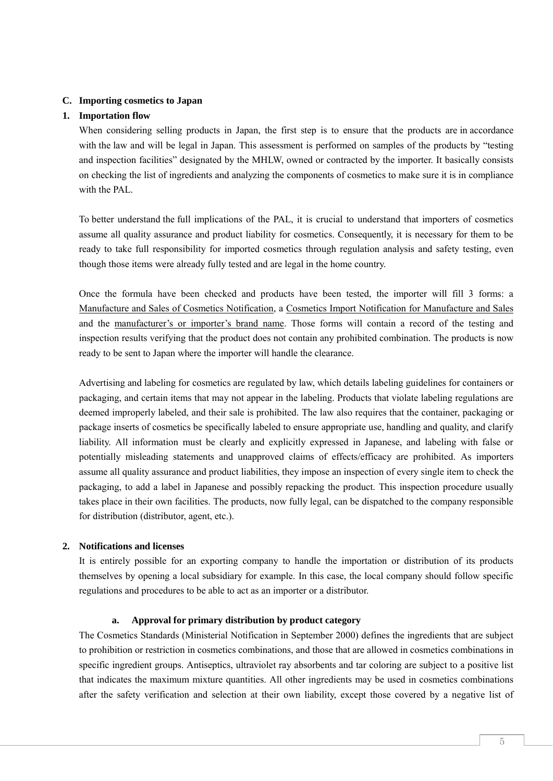#### <span id="page-4-0"></span>**C. Importing cosmetics to Japan**

#### <span id="page-4-1"></span>**1. Importation flow**

When considering selling products in Japan, the first step is to ensure that the products are in accordance with the law and will be legal in Japan. This assessment is performed on samples of the products by "testing" and inspection facilities" designated by the MHLW, owned or contracted by the importer. It basically consists on checking the list of ingredients and analyzing the components of cosmetics to make sure it is in compliance with the PAL.

To better understand the full implications of the PAL, it is crucial to understand that importers of cosmetics assume all quality assurance and product liability for cosmetics. Consequently, it is necessary for them to be ready to take full responsibility for imported cosmetics through regulation analysis and safety testing, even though those items were already fully tested and are legal in the home country.

Once the formula have been checked and products have been tested, the importer will fill 3 forms: a Manufacture and Sales of Cosmetics Notification, a Cosmetics Import Notification for Manufacture and Sales and the manufacturer's or importer's brand name. Those forms will contain a record of the testing and inspection results verifying that the product does not contain any prohibited combination. The products is now ready to be sent to Japan where the importer will handle the clearance.

Advertising and labeling for cosmetics are regulated by law, which details labeling guidelines for containers or packaging, and certain items that may not appear in the labeling. Products that violate labeling regulations are deemed improperly labeled, and their sale is prohibited. The law also requires that the container, packaging or package inserts of cosmetics be specifically labeled to ensure appropriate use, handling and quality, and clarify liability. All information must be clearly and explicitly expressed in Japanese, and labeling with false or potentially misleading statements and unapproved claims of effects/efficacy are prohibited. As importers assume all quality assurance and product liabilities, they impose an inspection of every single item to check the packaging, to add a label in Japanese and possibly repacking the product. This inspection procedure usually takes place in their own facilities. The products, now fully legal, can be dispatched to the company responsible for distribution (distributor, agent, etc.).

#### <span id="page-4-2"></span>**2. Notifications and licenses**

It is entirely possible for an exporting company to handle the importation or distribution of its products themselves by opening a local subsidiary for example. In this case, the local company should follow specific regulations and procedures to be able to act as an importer or a distributor.

#### **a. Approval for primary distribution by product category**

<span id="page-4-3"></span>The Cosmetics Standards (Ministerial Notification in September 2000) defines the ingredients that are subject to prohibition or restriction in cosmetics combinations, and those that are allowed in cosmetics combinations in specific ingredient groups. Antiseptics, ultraviolet ray absorbents and tar coloring are subject to a positive list that indicates the maximum mixture quantities. All other ingredients may be used in cosmetics combinations after the safety verification and selection at their own liability, except those covered by a negative list of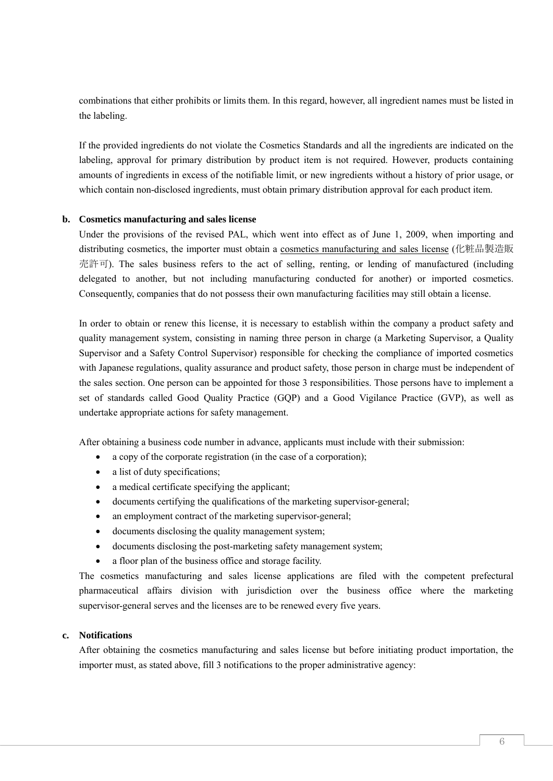combinations that either prohibits or limits them. In this regard, however, all ingredient names must be listed in the labeling.

If the provided ingredients do not violate the Cosmetics Standards and all the ingredients are indicated on the labeling, approval for primary distribution by product item is not required. However, products containing amounts of ingredients in excess of the notifiable limit, or new ingredients without a history of prior usage, or which contain non-disclosed ingredients, must obtain primary distribution approval for each product item.

#### <span id="page-5-0"></span>**b. Cosmetics manufacturing and sales license**

Under the provisions of the revised PAL, which went into effect as of June 1, 2009, when importing and distributing cosmetics, the importer must obtain a cosmetics manufacturing and sales license (化粧品製造販 売許可). The sales business refers to the act of selling, renting, or lending of manufactured (including delegated to another, but not including manufacturing conducted for another) or imported cosmetics. Consequently, companies that do not possess their own manufacturing facilities may still obtain a license.

In order to obtain or renew this license, it is necessary to establish within the company a product safety and quality management system, consisting in naming three person in charge (a Marketing Supervisor, a Quality Supervisor and a Safety Control Supervisor) responsible for checking the compliance of imported cosmetics with Japanese regulations, quality assurance and product safety, those person in charge must be independent of the sales section. One person can be appointed for those 3 responsibilities. Those persons have to implement a set of standards called Good Quality Practice (GQP) and a Good Vigilance Practice (GVP), as well as undertake appropriate actions for safety management.

After obtaining a business code number in advance, applicants must include with their submission:

- a copy of the corporate registration (in the case of a corporation);
- a list of duty specifications;
- a medical certificate specifying the applicant;
- documents certifying the qualifications of the marketing supervisor-general;
- an employment contract of the marketing supervisor-general;
- documents disclosing the quality management system;
- documents disclosing the post-marketing safety management system;
- a floor plan of the business office and storage facility.

The cosmetics manufacturing and sales license applications are filed with the competent prefectural pharmaceutical affairs division with jurisdiction over the business office where the marketing supervisor-general serves and the licenses are to be renewed every five years.

#### <span id="page-5-1"></span>**c. Notifications**

After obtaining the cosmetics manufacturing and sales license but before initiating product importation, the importer must, as stated above, fill 3 notifications to the proper administrative agency: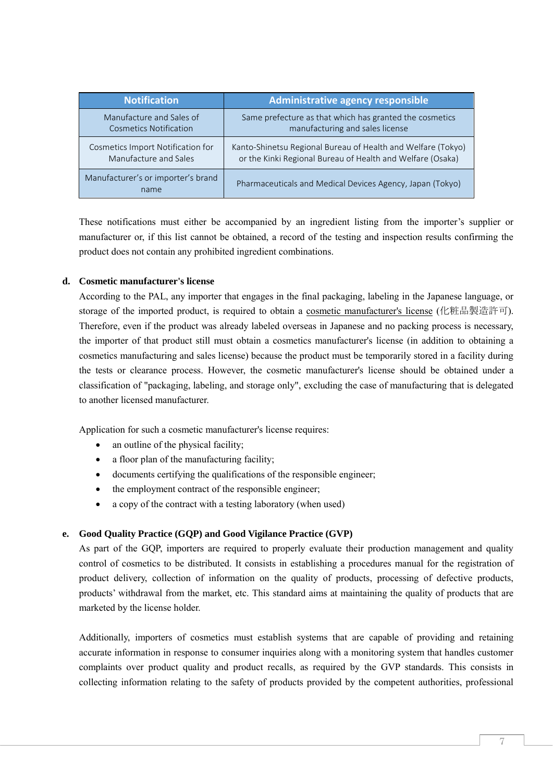| <b>Notification</b>                        | <b>Administrative agency responsible</b>                     |
|--------------------------------------------|--------------------------------------------------------------|
| Manufacture and Sales of                   | Same prefecture as that which has granted the cosmetics      |
| <b>Cosmetics Notification</b>              | manufacturing and sales license                              |
| Cosmetics Import Notification for          | Kanto-Shinetsu Regional Bureau of Health and Welfare (Tokyo) |
| Manufacture and Sales                      | or the Kinki Regional Bureau of Health and Welfare (Osaka)   |
| Manufacturer's or importer's brand<br>name | Pharmaceuticals and Medical Devices Agency, Japan (Tokyo)    |

These notifications must either be accompanied by an ingredient listing from the importer's supplier or manufacturer or, if this list cannot be obtained, a record of the testing and inspection results confirming the product does not contain any prohibited ingredient combinations.

## <span id="page-6-0"></span>**d. Cosmetic manufacturer's license**

According to the PAL, any importer that engages in the final packaging, labeling in the Japanese language, or storage of the imported product, is required to obtain a cosmetic manufacturer's license (化粧品製造許可). Therefore, even if the product was already labeled overseas in Japanese and no packing process is necessary, the importer of that product still must obtain a cosmetics manufacturer's license (in addition to obtaining a cosmetics manufacturing and sales license) because the product must be temporarily stored in a facility during the tests or clearance process. However, the cosmetic manufacturer's license should be obtained under a classification of "packaging, labeling, and storage only", excluding the case of manufacturing that is delegated to another licensed manufacturer.

Application for such a cosmetic manufacturer's license requires:

- an outline of the physical facility;
- a floor plan of the manufacturing facility;
- documents certifying the qualifications of the responsible engineer;
- the employment contract of the responsible engineer;
- a copy of the contract with a testing laboratory (when used)

#### <span id="page-6-1"></span>**e. Good Quality Practice (GQP) and Good Vigilance Practice (GVP)**

As part of the GQP, importers are required to properly evaluate their production management and quality control of cosmetics to be distributed. It consists in establishing a procedures manual for the registration of product delivery, collection of information on the quality of products, processing of defective products, products' withdrawal from the market, etc. This standard aims at maintaining the quality of products that are marketed by the license holder.

Additionally, importers of cosmetics must establish systems that are capable of providing and retaining accurate information in response to consumer inquiries along with a monitoring system that handles customer complaints over product quality and product recalls, as required by the GVP standards. This consists in collecting information relating to the safety of products provided by the competent authorities, professional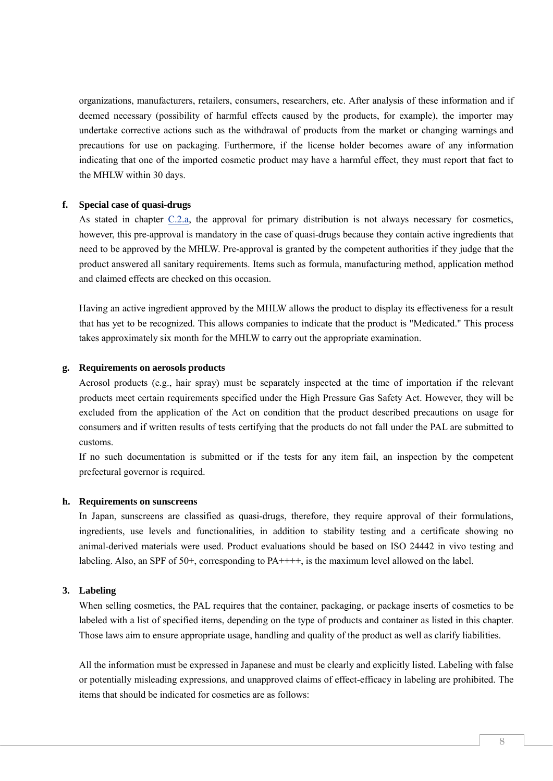organizations, manufacturers, retailers, consumers, researchers, etc. After analysis of these information and if deemed necessary (possibility of harmful effects caused by the products, for example), the importer may undertake corrective actions such as the withdrawal of products from the market or changing warnings and precautions for use on packaging. Furthermore, if the license holder becomes aware of any information indicating that one of the imported cosmetic product may have a harmful effect, they must report that fact to the MHLW within 30 days.

#### <span id="page-7-0"></span>**f. Special case of quasi-drugs**

As stated in chapter [C.2.a,](#page-4-3) the approval for primary distribution is not always necessary for cosmetics, however, this pre-approval is mandatory in the case of quasi-drugs because they contain active ingredients that need to be approved by the MHLW. Pre-approval is granted by the competent authorities if they judge that the product answered all sanitary requirements. Items such as formula, manufacturing method, application method and claimed effects are checked on this occasion.

Having an active ingredient approved by the MHLW allows the product to display its effectiveness for a result that has yet to be recognized. This allows companies to indicate that the product is "Medicated." This process takes approximately six month for the MHLW to carry out the appropriate examination.

#### <span id="page-7-1"></span>**g. Requirements on aerosols products**

Aerosol products (e.g., hair spray) must be separately inspected at the time of importation if the relevant products meet certain requirements specified under the High Pressure Gas Safety Act. However, they will be excluded from the application of the Act on condition that the product described precautions on usage for consumers and if written results of tests certifying that the products do not fall under the PAL are submitted to customs.

If no such documentation is submitted or if the tests for any item fail, an inspection by the competent prefectural governor is required.

#### <span id="page-7-2"></span>**h. Requirements on sunscreens**

In Japan, sunscreens are classified as quasi-drugs, therefore, they require approval of their formulations, ingredients, use levels and functionalities, in addition to stability testing and a certificate showing no animal-derived materials were used. Product evaluations should be based on ISO 24442 in vivo testing and labeling. Also, an SPF of 50+, corresponding to PA++++, is the maximum level allowed on the label.

#### <span id="page-7-3"></span>**3. Labeling**

When selling cosmetics, the PAL requires that the container, packaging, or package inserts of cosmetics to be labeled with a list of specified items, depending on the type of products and container as listed in this chapter. Those laws aim to ensure appropriate usage, handling and quality of the product as well as clarify liabilities.

All the information must be expressed in Japanese and must be clearly and explicitly listed. Labeling with false or potentially misleading expressions, and unapproved claims of effect-efficacy in labeling are prohibited. The items that should be indicated for cosmetics are as follows: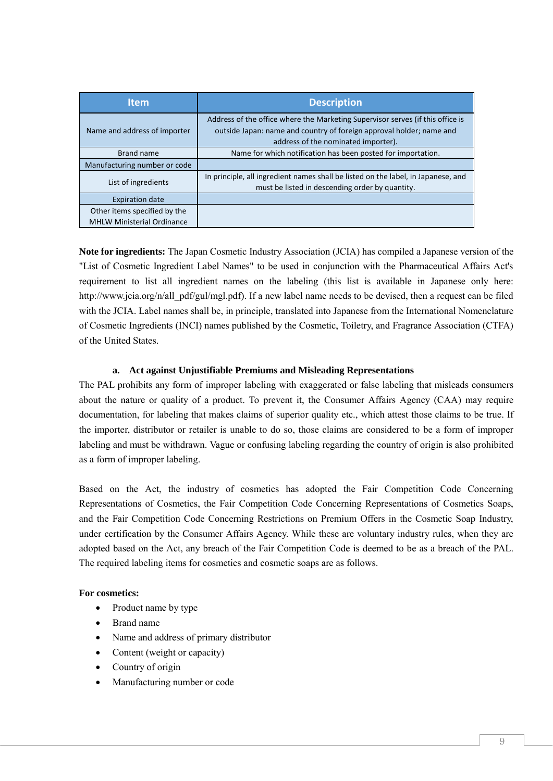| <b>Item</b>                                                       | <b>Description</b>                                                                                                                                                                            |
|-------------------------------------------------------------------|-----------------------------------------------------------------------------------------------------------------------------------------------------------------------------------------------|
| Name and address of importer                                      | Address of the office where the Marketing Supervisor serves (if this office is<br>outside Japan: name and country of foreign approval holder; name and<br>address of the nominated importer). |
| Brand name                                                        | Name for which notification has been posted for importation.                                                                                                                                  |
| Manufacturing number or code                                      |                                                                                                                                                                                               |
| List of ingredients                                               | In principle, all ingredient names shall be listed on the label, in Japanese, and<br>must be listed in descending order by quantity.                                                          |
| <b>Expiration date</b>                                            |                                                                                                                                                                                               |
| Other items specified by the<br><b>MHLW Ministerial Ordinance</b> |                                                                                                                                                                                               |

**Note for ingredients:** The Japan Cosmetic Industry Association (JCIA) has compiled a Japanese version of the "List of Cosmetic Ingredient Label Names" to be used in conjunction with the Pharmaceutical Affairs Act's requirement to list all ingredient names on the labeling (this list is available in Japanese only here: http://www.jcia.org/n/all\_pdf/gul/mgl.pdf). If a new label name needs to be devised, then a request can be filed with the JCIA. Label names shall be, in principle, translated into Japanese from the International Nomenclature of Cosmetic Ingredients (INCI) names published by the Cosmetic, Toiletry, and Fragrance Association (CTFA) of the United States.

## **a. Act against Unjustifiable Premiums and Misleading Representations**

<span id="page-8-0"></span>The PAL prohibits any form of improper labeling with exaggerated or false labeling that misleads consumers about the nature or quality of a product. To prevent it, the Consumer Affairs Agency (CAA) may require documentation, for labeling that makes claims of superior quality etc., which attest those claims to be true. If the importer, distributor or retailer is unable to do so, those claims are considered to be a form of improper labeling and must be withdrawn. Vague or confusing labeling regarding the country of origin is also prohibited as a form of improper labeling.

Based on the Act, the industry of cosmetics has adopted the Fair Competition Code Concerning Representations of Cosmetics, the Fair Competition Code Concerning Representations of Cosmetics Soaps, and the Fair Competition Code Concerning Restrictions on Premium Offers in the Cosmetic Soap Industry, under certification by the Consumer Affairs Agency. While these are voluntary industry rules, when they are adopted based on the Act, any breach of the Fair Competition Code is deemed to be as a breach of the PAL. The required labeling items for cosmetics and cosmetic soaps are as follows.

## **For cosmetics:**

- Product name by type
- Brand name
- Name and address of primary distributor
- Content (weight or capacity)
- Country of origin
- Manufacturing number or code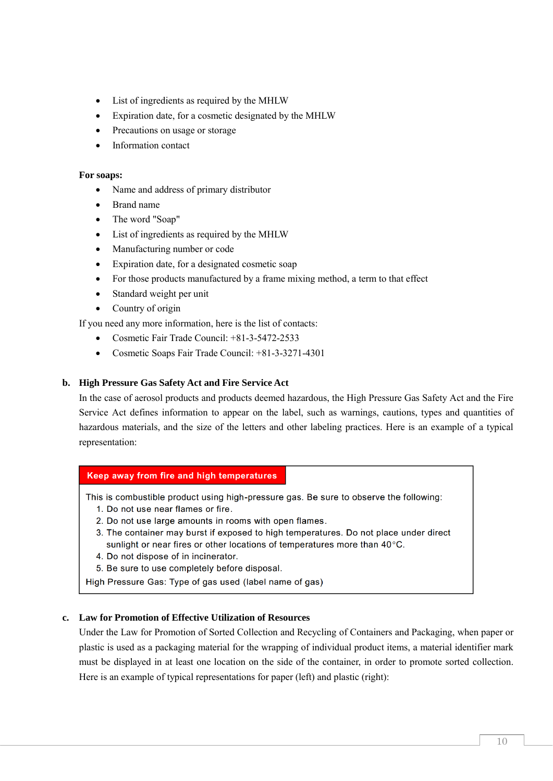- List of ingredients as required by the MHLW
- Expiration date, for a cosmetic designated by the MHLW
- Precautions on usage or storage
- Information contact

#### **For soaps:**

- Name and address of primary distributor
- Brand name
- The word "Soap"
- List of ingredients as required by the MHLW
- Manufacturing number or code
- Expiration date, for a designated cosmetic soap
- For those products manufactured by a frame mixing method, a term to that effect
- Standard weight per unit
- Country of origin

If you need any more information, here is the list of contacts:

- Cosmetic Fair Trade Council: +81-3-5472-2533
- Cosmetic Soaps Fair Trade Council: +81-3-3271-4301

#### <span id="page-9-0"></span>**b. High Pressure Gas Safety Act and Fire Service Act**

In the case of aerosol products and products deemed hazardous, the High Pressure Gas Safety Act and the Fire Service Act defines information to appear on the label, such as warnings, cautions, types and quantities of hazardous materials, and the size of the letters and other labeling practices. Here is an example of a typical representation:

#### Keep away from fire and high temperatures

This is combustible product using high-pressure gas. Be sure to observe the following:

- 1. Do not use near flames or fire.
- 2. Do not use large amounts in rooms with open flames.
- 3. The container may burst if exposed to high temperatures. Do not place under direct sunlight or near fires or other locations of temperatures more than 40°C.
- 4. Do not dispose of in incinerator.
- 5. Be sure to use completely before disposal.

High Pressure Gas: Type of gas used (label name of gas)

## <span id="page-9-1"></span>**c. Law for Promotion of Effective Utilization of Resources**

Under the Law for Promotion of Sorted Collection and Recycling of Containers and Packaging, when paper or plastic is used as a packaging material for the wrapping of individual product items, a material identifier mark must be displayed in at least one location on the side of the container, in order to promote sorted collection. Here is an example of typical representations for paper (left) and plastic (right):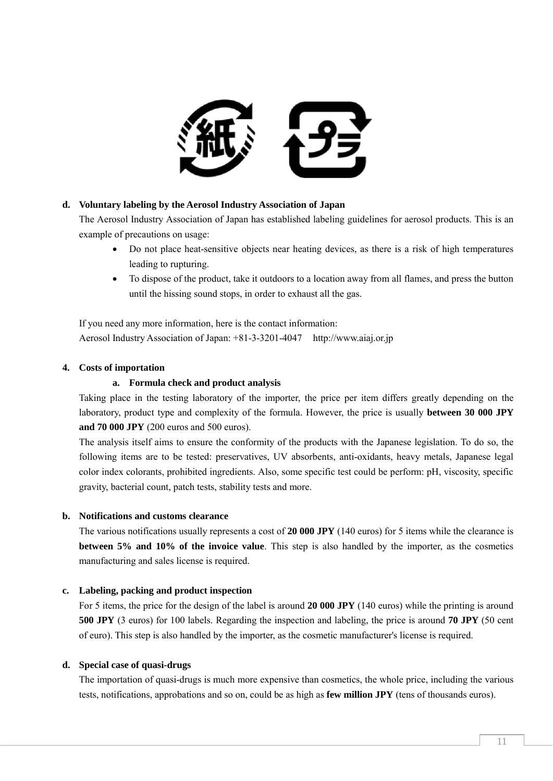

## <span id="page-10-0"></span>**d. Voluntary labeling by the Aerosol Industry Association of Japan**

The Aerosol Industry Association of Japan has established labeling guidelines for aerosol products. This is an example of precautions on usage:

- Do not place heat-sensitive objects near heating devices, as there is a risk of high temperatures leading to rupturing.
- To dispose of the product, take it outdoors to a location away from all flames, and press the button until the hissing sound stops, in order to exhaust all the gas.

If you need any more information, here is the contact information: Aerosol Industry Association of Japan: +81-3-3201-4047 http://www.aiaj.or.jp

## <span id="page-10-1"></span>**4. Costs of importation**

## **a. Formula check and product analysis**

<span id="page-10-2"></span>Taking place in the testing laboratory of the importer, the price per item differs greatly depending on the laboratory, product type and complexity of the formula. However, the price is usually **between 30 000 JPY and 70 000 JPY** (200 euros and 500 euros).

The analysis itself aims to ensure the conformity of the products with the Japanese legislation. To do so, the following items are to be tested: preservatives, UV absorbents, anti-oxidants, heavy metals, Japanese legal color index colorants, prohibited ingredients. Also, some specific test could be perform: pH, viscosity, specific gravity, bacterial count, patch tests, stability tests and more.

#### <span id="page-10-3"></span>**b. Notifications and customs clearance**

The various notifications usually represents a cost of **20 000 JPY** (140 euros) for 5 items while the clearance is **between 5% and 10% of the invoice value**. This step is also handled by the importer, as the cosmetics manufacturing and sales license is required.

#### <span id="page-10-4"></span>**c. Labeling, packing and product inspection**

For 5 items, the price for the design of the label is around **20 000 JPY** (140 euros) while the printing is around **500 JPY** (3 euros) for 100 labels. Regarding the inspection and labeling, the price is around **70 JPY** (50 cent of euro). This step is also handled by the importer, as the cosmetic manufacturer's license is required.

#### <span id="page-10-5"></span>**d. Special case of quasi-drugs**

The importation of quasi-drugs is much more expensive than cosmetics, the whole price, including the various tests, notifications, approbations and so on, could be as high as **few million JPY** (tens of thousands euros).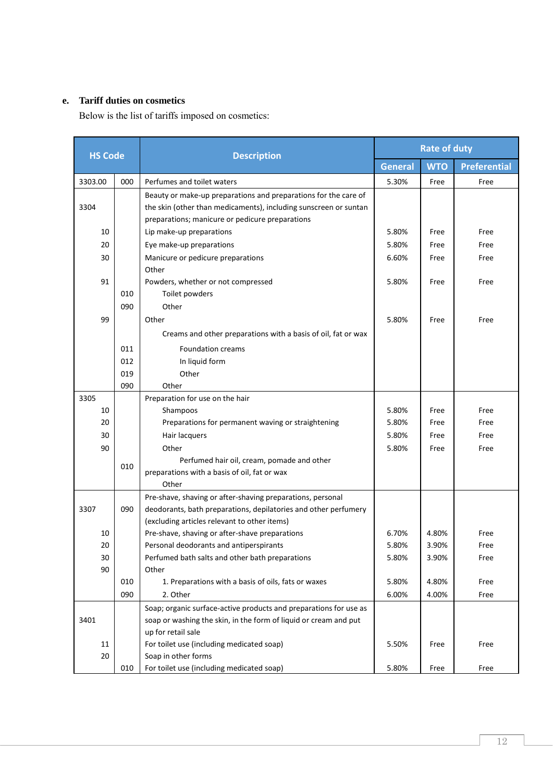## <span id="page-11-0"></span>**e. Tariff duties on cosmetics**

Below is the list of tariffs imposed on cosmetics:

| <b>HS Code</b> |     | <b>Description</b>                                                | <b>Rate of duty</b> |            |                     |
|----------------|-----|-------------------------------------------------------------------|---------------------|------------|---------------------|
|                |     |                                                                   | <b>General</b>      | <b>WTO</b> | <b>Preferential</b> |
| 3303.00        | 000 | Perfumes and toilet waters                                        | 5.30%               | Free       | Free                |
|                |     | Beauty or make-up preparations and preparations for the care of   |                     |            |                     |
| 3304           |     | the skin (other than medicaments), including sunscreen or suntan  |                     |            |                     |
|                |     | preparations; manicure or pedicure preparations                   |                     |            |                     |
| 10             |     | Lip make-up preparations                                          | 5.80%               | Free       | Free                |
| 20             |     | Eye make-up preparations                                          | 5.80%               | Free       | Free                |
| 30             |     | Manicure or pedicure preparations                                 |                     | Free       | Free                |
|                |     | Other                                                             |                     |            |                     |
| 91             |     | Powders, whether or not compressed                                | 5.80%               | Free       | Free                |
|                | 010 | Toilet powders                                                    |                     |            |                     |
|                | 090 | Other                                                             |                     |            |                     |
| 99             |     | Other                                                             | 5.80%               | Free       | Free                |
|                |     | Creams and other preparations with a basis of oil, fat or wax     |                     |            |                     |
|                | 011 | <b>Foundation creams</b>                                          |                     |            |                     |
|                | 012 | In liquid form                                                    |                     |            |                     |
|                | 019 | Other                                                             |                     |            |                     |
|                | 090 | Other                                                             |                     |            |                     |
| 3305           |     | Preparation for use on the hair                                   |                     |            |                     |
| 10             |     | Shampoos                                                          | 5.80%               | Free       | Free                |
| 20             |     | Preparations for permanent waving or straightening                | 5.80%               | Free       | Free                |
| 30             |     | Hair lacquers                                                     | 5.80%               | Free       | Free                |
| 90             |     | Other                                                             | 5.80%               | Free       | Free                |
|                |     | Perfumed hair oil, cream, pomade and other                        |                     |            |                     |
|                | 010 | preparations with a basis of oil, fat or wax                      |                     |            |                     |
|                |     | Other                                                             |                     |            |                     |
|                |     | Pre-shave, shaving or after-shaving preparations, personal        |                     |            |                     |
| 3307           | 090 | deodorants, bath preparations, depilatories and other perfumery   |                     |            |                     |
|                |     | (excluding articles relevant to other items)                      |                     |            |                     |
| 10             |     | Pre-shave, shaving or after-shave preparations                    | 6.70%               | 4.80%      | Free                |
| 20             |     | Personal deodorants and antiperspirants                           | 5.80%               | 3.90%      | Free                |
| 30             |     | Perfumed bath salts and other bath preparations                   | 5.80%               | 3.90%      | Free                |
| 90             |     | Other                                                             |                     |            |                     |
|                | 010 | 1. Preparations with a basis of oils, fats or waxes               | 5.80%               | 4.80%      | Free                |
|                | 090 | 2. Other                                                          | 6.00%               | 4.00%      | Free                |
|                |     | Soap; organic surface-active products and preparations for use as |                     |            |                     |
| 3401           |     | soap or washing the skin, in the form of liquid or cream and put  |                     |            |                     |
|                |     | up for retail sale                                                |                     |            |                     |
| 11             |     | For toilet use (including medicated soap)                         | 5.50%               | Free       | Free                |
| 20             |     | Soap in other forms                                               |                     |            |                     |
|                | 010 | For toilet use (including medicated soap)                         | 5.80%               | Free       | Free                |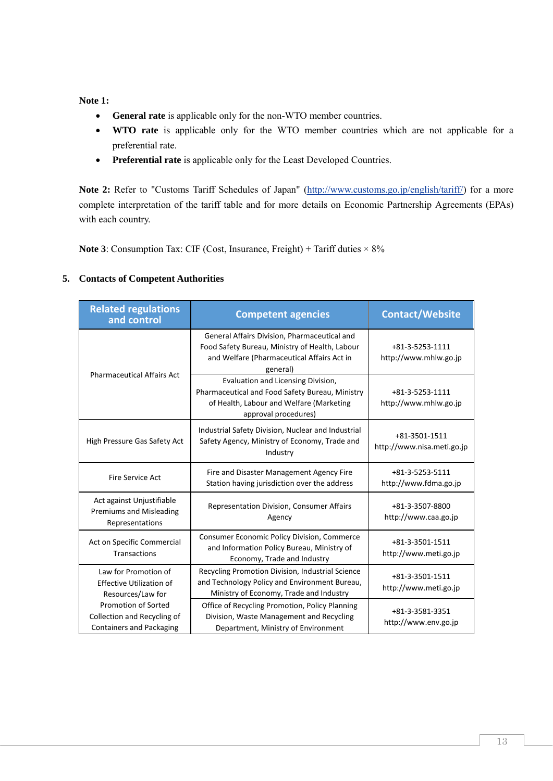**Note 1:**

- **General rate** is applicable only for the non-WTO member countries.
- **WTO rate** is applicable only for the WTO member countries which are not applicable for a preferential rate.
- **Preferential rate** is applicable only for the Least Developed Countries.

Note 2: Refer to "Customs Tariff Schedules of Japan" [\(http://www.customs.go.jp/english/tariff/\)](http://www.customs.go.jp/english/tariff/) for a more complete interpretation of the tariff table and for more details on Economic Partnership Agreements (EPAs) with each country.

**Note 3**: Consumption Tax: CIF (Cost, Insurance, Freight) + Tariff duties  $\times$  8%

## <span id="page-12-0"></span>**5. Contacts of Competent Authorities**

| <b>Related regulations</b><br>and control                                                    | <b>Competent agencies</b>                                                                                                                                 | <b>Contact/Website</b>                      |  |
|----------------------------------------------------------------------------------------------|-----------------------------------------------------------------------------------------------------------------------------------------------------------|---------------------------------------------|--|
| <b>Pharmaceutical Affairs Act</b>                                                            | General Affairs Division, Pharmaceutical and<br>Food Safety Bureau, Ministry of Health, Labour<br>and Welfare (Pharmaceutical Affairs Act in<br>general)  | +81-3-5253-1111<br>http://www.mhlw.go.jp    |  |
|                                                                                              | Evaluation and Licensing Division,<br>Pharmaceutical and Food Safety Bureau, Ministry<br>of Health, Labour and Welfare (Marketing<br>approval procedures) | +81-3-5253-1111<br>http://www.mhlw.go.jp    |  |
| High Pressure Gas Safety Act                                                                 | Industrial Safety Division, Nuclear and Industrial<br>Safety Agency, Ministry of Economy, Trade and<br>Industry                                           | +81-3501-1511<br>http://www.nisa.meti.go.jp |  |
| Fire Service Act                                                                             | Fire and Disaster Management Agency Fire<br>Station having jurisdiction over the address                                                                  | +81-3-5253-5111<br>http://www.fdma.go.jp    |  |
| Act against Unjustifiable<br><b>Premiums and Misleading</b><br>Representations               | Representation Division, Consumer Affairs<br>Agency                                                                                                       | +81-3-3507-8800<br>http://www.caa.go.jp     |  |
| Act on Specific Commercial<br><b>Transactions</b>                                            | Consumer Economic Policy Division, Commerce<br>and Information Policy Bureau, Ministry of<br>Economy, Trade and Industry                                  | +81-3-3501-1511<br>http://www.meti.go.jp    |  |
| Law for Promotion of<br><b>Effective Utilization of</b><br>Resources/Law for                 | Recycling Promotion Division, Industrial Science<br>and Technology Policy and Environment Bureau,<br>Ministry of Economy, Trade and Industry              | +81-3-3501-1511<br>http://www.meti.go.jp    |  |
| <b>Promotion of Sorted</b><br>Collection and Recycling of<br><b>Containers and Packaging</b> | Office of Recycling Promotion, Policy Planning<br>Division, Waste Management and Recycling<br>Department, Ministry of Environment                         | +81-3-3581-3351<br>http://www.env.go.jp     |  |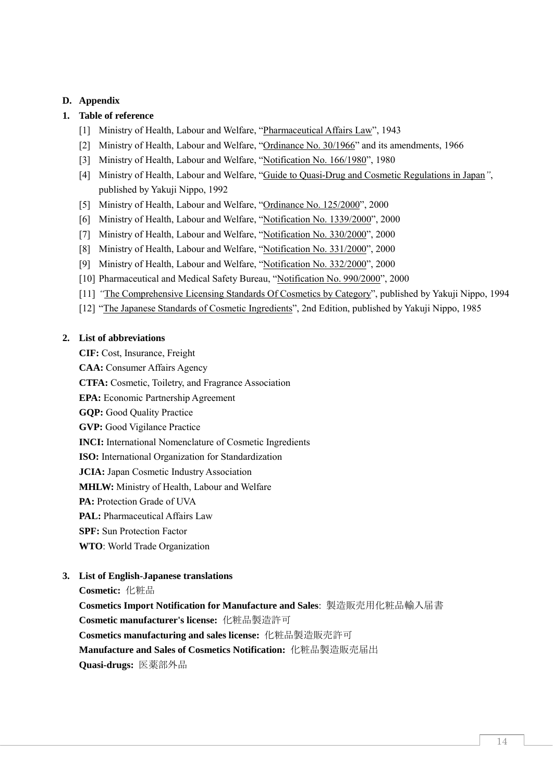## <span id="page-13-0"></span>**D. Appendix**

## <span id="page-13-1"></span>**1. Table of reference**

- [1] Ministry of Health, Labour and Welfare, "Pharmaceutical Affairs Law", 1943
- [2] Ministry of Health, Labour and Welfare, "Ordinance No. 30/1966" and its amendments, 1966
- [3] Ministry of Health, Labour and Welfare, "Notification No. 166/1980", 1980
- [4] Ministry of Health, Labour and Welfare, "Guide to Quasi-Drug and Cosmetic Regulations in Japan*"*, published by Yakuji Nippo, 1992
- [5] Ministry of Health, Labour and Welfare, "Ordinance No. 125/2000", 2000
- [6] Ministry of Health, Labour and Welfare, "Notification No. 1339/2000", 2000
- [7] Ministry of Health, Labour and Welfare, "Notification No. 330/2000", 2000
- [8] Ministry of Health, Labour and Welfare, "Notification No. 331/2000", 2000
- [9] Ministry of Health, Labour and Welfare, "Notification No. 332/2000", 2000
- [10] Pharmaceutical and Medical Safety Bureau, "Notification No. 990/2000", 2000
- [11] *"*The Comprehensive Licensing Standards Of Cosmetics by Category", published by Yakuji Nippo, 1994
- [12] "The Japanese Standards of Cosmetic Ingredients", 2nd Edition, published by Yakuji Nippo, 1985

#### <span id="page-13-2"></span>**2. List of abbreviations**

**CIF:** Cost, Insurance, Freight

**CAA:** Consumer Affairs Agency

**CTFA:** Cosmetic, Toiletry, and Fragrance Association

- **EPA:** Economic Partnership Agreement
- **GQP:** Good Quality Practice
- **GVP:** Good Vigilance Practice

**INCI:** International Nomenclature of Cosmetic Ingredients

**ISO:** International Organization for Standardization

**JCIA:** Japan Cosmetic Industry Association

**MHLW:** Ministry of Health, Labour and Welfare

**PA:** Protection Grade of UVA

**PAL:** Pharmaceutical Affairs Law

**SPF:** Sun Protection Factor

**WTO**: World Trade Organization

## <span id="page-13-3"></span>**3. List of English-Japanese translations**

**Cosmetic:** 化粧品

**Cosmetics Import Notification for Manufacture and Sales**: [製造販売用化粧品輸入届書](http://www.bloom-jp.com/yougo.php?mode=imp&num=8)

**Cosmetic manufacturer's license:** 化粧品製造許可

**Cosmetics manufacturing and sales license:** 化粧品製造販売許可

**Manufacture and Sales of Cosmetics Notification:** [化粧品製造販売届出](http://www.tokyo-eiken.go.jp/files/k_yakuji/i-sinsa/cosmetics/todokede/y_040.doc)

**Quasi-drugs:** 医薬部外品